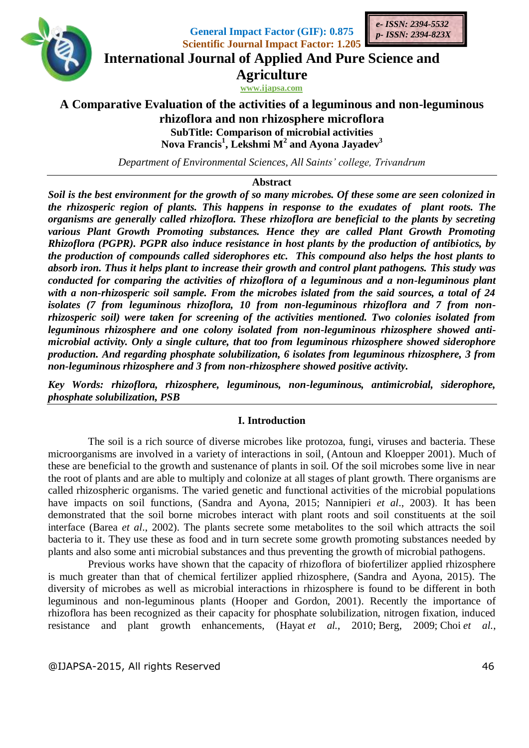

**General Impact Factor (GIF): 0.875 Scientific Journal Impact Factor: 1.205**



**International Journal of Applied And Pure Science and**

**Agriculture**

**www.ijapsa.com** 

# **A Comparative Evaluation of the activities of a leguminous and non-leguminous rhizoflora and non rhizosphere microflora SubTitle: Comparison of microbial activities Nova Francis<sup>1</sup> , Lekshmi M<sup>2</sup> and Ayona Jayadev<sup>3</sup>**

*Department of Environmental Sciences, All Saints' college, Trivandrum*

## **Abstract**

*Soil is the best environment for the growth of so many microbes. Of these some are seen colonized in the rhizosperic region of plants. This happens in response to the exudates of plant roots. The organisms are generally called rhizoflora. These rhizoflora are beneficial to the plants by secreting various Plant Growth Promoting substances. Hence they are called Plant Growth Promoting Rhizoflora (PGPR). PGPR also induce resistance in host plants by the production of antibiotics, by the production of compounds called siderophores etc. This compound also helps the host plants to absorb iron. Thus it helps plant to increase their growth and control plant pathogens. This study was conducted for comparing the activities of rhizoflora of a leguminous and a non-leguminous plant with a non-rhizosperic soil sample. From the microbes islated from the said sources, a total of 24 isolates (7 from leguminous rhizoflora, 10 from non-leguminous rhizoflora and 7 from nonrhizosperic soil) were taken for screening of the activities mentioned. Two colonies isolated from leguminous rhizosphere and one colony isolated from non-leguminous rhizosphere showed antimicrobial activity. Only a single culture, that too from leguminous rhizosphere showed siderophore production. And regarding phosphate solubilization, 6 isolates from leguminous rhizosphere, 3 from non-leguminous rhizosphere and 3 from non-rhizosphere showed positive activity.*

*Key Words: rhizoflora, rhizosphere, leguminous, non-leguminous, antimicrobial, siderophore, phosphate solubilization, PSB*

## **I. Introduction**

The soil is a rich source of diverse microbes like protozoa, fungi, viruses and bacteria. These microorganisms are involved in a variety of interactions in soil, (Antoun and Kloepper 2001). Much of these are beneficial to the growth and sustenance of plants in soil. Of the soil microbes some live in near the root of plants and are able to multiply and colonize at all stages of plant growth. There organisms are called rhizospheric organisms. The varied genetic and functional activities of the microbial populations have impacts on soil functions, (Sandra and Ayona, 2015; Nannipieri *et al*., 2003). It has been demonstrated that the soil borne microbes interact with plant roots and soil constituents at the soil interface (Barea *et al*., 2002). The plants secrete some metabolites to the soil which attracts the soil bacteria to it. They use these as food and in turn secrete some growth promoting substances needed by plants and also some anti microbial substances and thus preventing the growth of microbial pathogens.

Previous works have shown that the capacity of rhizoflora of biofertilizer applied rhizosphere is much greater than that of chemical fertilizer applied rhizosphere, (Sandra and Ayona, 2015). The diversity of microbes as well as microbial interactions in rhizosphere is found to be different in both leguminous and non-leguminous plants (Hooper and Gordon, 2001). Recently the importance of rhizoflora has been recognized as their capacity for phosphate solubilization, nitrogen fixation, induced resistance and plant growth enhancements, (Hayat *et al.*, 2010; Berg, 2009; Choi *et al.*,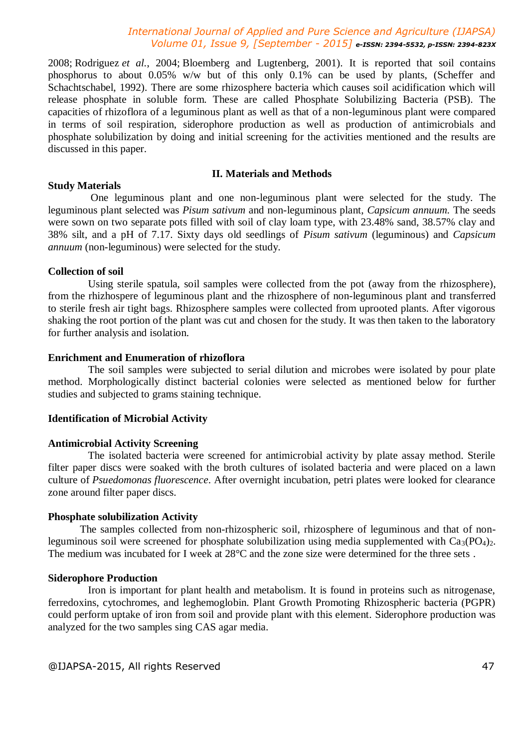2008; Rodriguez *et al.*, 2004; Bloemberg and Lugtenberg, 2001). It is reported that soil contains phosphorus to about 0.05% w/w but of this only 0.1% can be used by plants, (Scheffer and Schachtschabel, 1992). There are some rhizosphere bacteria which causes soil acidification which will release phosphate in soluble form. These are called Phosphate Solubilizing Bacteria (PSB). The capacities of rhizoflora of a leguminous plant as well as that of a non-leguminous plant were compared in terms of soil respiration, siderophore production as well as production of antimicrobials and phosphate solubilization by doing and initial screening for the activities mentioned and the results are discussed in this paper.

#### **II. Materials and Methods**

#### **Study Materials**

One leguminous plant and one non-leguminous plant were selected for the study. The leguminous plant selected was *Pisum sativum* and non-leguminous plant, *Capsicum annuum.* The seeds were sown on two separate pots filled with soil of clay loam type, with 23.48% sand, 38.57% clay and 38% silt, and a pH of 7.17. Sixty days old seedlings of *Pisum sativum* (leguminous) and *Capsicum annuum* (non-leguminous) were selected for the study.

#### **Collection of soil**

Using sterile spatula, soil samples were collected from the pot (away from the rhizosphere), from the rhizhospere of leguminous plant and the rhizosphere of non-leguminous plant and transferred to sterile fresh air tight bags. Rhizosphere samples were collected from uprooted plants. After vigorous shaking the root portion of the plant was cut and chosen for the study. It was then taken to the laboratory for further analysis and isolation.

## **Enrichment and Enumeration of rhizoflora**

The soil samples were subjected to serial dilution and microbes were isolated by pour plate method. Morphologically distinct bacterial colonies were selected as mentioned below for further studies and subjected to grams staining technique.

#### **Identification of Microbial Activity**

#### **Antimicrobial Activity Screening**

The isolated bacteria were screened for antimicrobial activity by plate assay method. Sterile filter paper discs were soaked with the broth cultures of isolated bacteria and were placed on a lawn culture of *Psuedomonas fluorescence*. After overnight incubation, petri plates were looked for clearance zone around filter paper discs.

#### **Phosphate solubilization Activity**

The samples collected from non-rhizospheric soil, rhizosphere of leguminous and that of nonleguminous soil were screened for phosphate solubilization using media supplemented with  $Ca_3(PO_4)_2$ . The medium was incubated for I week at 28<sup>o</sup>C and the zone size were determined for the three sets.

#### **Siderophore Production**

Iron is important for plant health and metabolism. It is found in proteins such as nitrogenase, ferredoxins, cytochromes, and leghemoglobin. Plant Growth Promoting Rhizospheric bacteria (PGPR) could perform uptake of iron from soil and provide plant with this element. Siderophore production was analyzed for the two samples sing CAS agar media.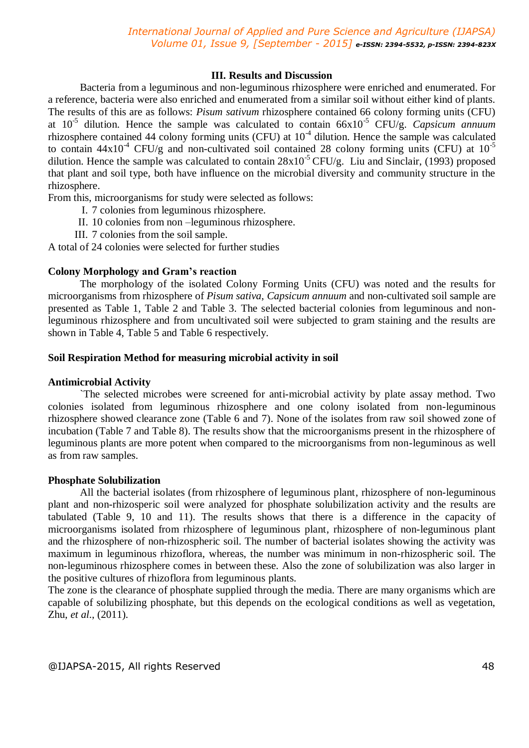## **III. Results and Discussion**

Bacteria from a leguminous and non-leguminous rhizosphere were enriched and enumerated. For a reference, bacteria were also enriched and enumerated from a similar soil without either kind of plants. The results of this are as follows: *Pisum sativum* rhizosphere contained 66 colony forming units (CFU) at 10-5 dilution. Hence the sample was calculated to contain 66x10-5 CFU/g. *Capsicum annuum* rhizosphere contained 44 colony forming units (CFU) at  $10<sup>-4</sup>$  dilution. Hence the sample was calculated to contain  $44x10^4$  CFU/g and non-cultivated soil contained 28 colony forming units (CFU) at  $10^{-5}$ dilution. Hence the sample was calculated to contain  $28x10^{-5}$  CFU/g. Liu and Sinclair, (1993) proposed that plant and soil type, both have influence on the microbial diversity and community structure in the rhizosphere.

From this, microorganisms for study were selected as follows:

- I. 7 colonies from leguminous rhizosphere.
- II. 10 colonies from non –leguminous rhizosphere.
- III. 7 colonies from the soil sample.

A total of 24 colonies were selected for further studies

## **Colony Morphology and Gram's reaction**

The morphology of the isolated Colony Forming Units (CFU) was noted and the results for microorganisms from rhizosphere of *Pisum sativa*, *Capsicum annuum* and non-cultivated soil sample are presented as Table 1, Table 2 and Table 3. The selected bacterial colonies from leguminous and nonleguminous rhizosphere and from uncultivated soil were subjected to gram staining and the results are shown in Table 4, Table 5 and Table 6 respectively.

## **Soil Respiration Method for measuring microbial activity in soil**

#### **Antimicrobial Activity**

`The selected microbes were screened for anti-microbial activity by plate assay method. Two colonies isolated from leguminous rhizosphere and one colony isolated from non-leguminous rhizosphere showed clearance zone (Table 6 and 7). None of the isolates from raw soil showed zone of incubation (Table 7 and Table 8). The results show that the microorganisms present in the rhizosphere of leguminous plants are more potent when compared to the microorganisms from non-leguminous as well as from raw samples.

#### **Phosphate Solubilization**

All the bacterial isolates (from rhizosphere of leguminous plant, rhizosphere of non-leguminous plant and non-rhizosperic soil were analyzed for phosphate solubilization activity and the results are tabulated (Table 9, 10 and 11). The results shows that there is a difference in the capacity of microorganisms isolated from rhizosphere of leguminous plant, rhizosphere of non-leguminous plant and the rhizosphere of non-rhizospheric soil. The number of bacterial isolates showing the activity was maximum in leguminous rhizoflora, whereas, the number was minimum in non-rhizospheric soil. The non-leguminous rhizosphere comes in between these. Also the zone of solubilization was also larger in the positive cultures of rhizoflora from leguminous plants.

The zone is the clearance of phosphate supplied through the media. There are many organisms which are capable of solubilizing phosphate, but this depends on the ecological conditions as well as vegetation, Zhu, *et al*., (2011).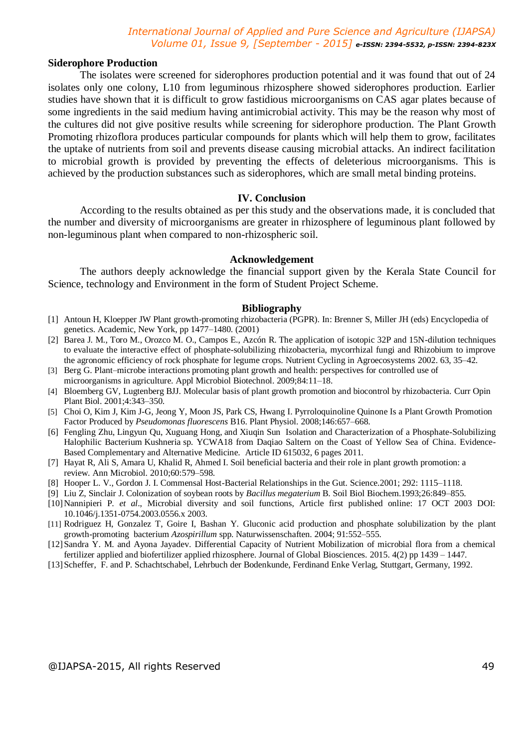#### **Siderophore Production**

The isolates were screened for siderophores production potential and it was found that out of 24 isolates only one colony, L10 from leguminous rhizosphere showed siderophores production. Earlier studies have shown that it is difficult to grow fastidious microorganisms on CAS agar plates because of some ingredients in the said medium having antimicrobial activity. This may be the reason why most of the cultures did not give positive results while screening for siderophore production. The Plant Growth Promoting rhizoflora produces particular compounds for plants which will help them to grow, facilitates the uptake of nutrients from soil and prevents disease causing microbial attacks. An indirect facilitation to microbial growth is provided by preventing the effects of deleterious microorganisms. This is achieved by the production substances such as siderophores, which are small metal binding proteins.

#### **IV. Conclusion**

According to the results obtained as per this study and the observations made, it is concluded that the number and diversity of microorganisms are greater in rhizosphere of leguminous plant followed by non-leguminous plant when compared to non-rhizospheric soil.

#### **Acknowledgement**

The authors deeply acknowledge the financial support given by the Kerala State Council for Science, technology and Environment in the form of Student Project Scheme.

#### **Bibliography**

- [1] Antoun H, Kloepper JW Plant growth-promoting rhizobacteria (PGPR). In: Brenner S, Miller JH (eds) Encyclopedia of genetics. Academic, New York, pp 1477–1480. (2001)
- [2] Barea J. M., Toro M., Orozco M. O., Campos E., Azcón R. The application of isotopic 32P and 15N-dilution techniques to evaluate the interactive effect of phosphate-solubilizing rhizobacteria, mycorrhizal fungi and Rhizobium to improve the agronomic efficiency of rock phosphate for legume crops. Nutrient Cycling in Agroecosystems 2002. 63, 35–42.
- [3] Berg G. Plant–microbe interactions promoting plant growth and health: perspectives for controlled use of microorganisms in agriculture. Appl Microbiol Biotechnol. 2009;84:11–18.
- [4] Bloemberg GV, Lugtenberg BJJ. Molecular basis of plant growth promotion and biocontrol by rhizobacteria. Curr Opin Plant Biol. 2001;4:343–350.
- [5] Choi O, Kim J, Kim J-G, Jeong Y, Moon JS, Park CS, Hwang I. Pyrroloquinoline Quinone Is a Plant Growth Promotion Factor Produced by *Pseudomonas fluorescens* B16. Plant Physiol. 2008;146:657–668.
- [6] Fengling Zhu, Lingyun Qu, Xuguang Hong, and Xiuqin Sun Isolation and Characterization of a Phosphate-Solubilizing Halophilic Bacterium Kushneria sp. YCWA18 from Daqiao Saltern on the Coast of Yellow Sea of China. Evidence-Based Complementary and Alternative Medicine. Article ID 615032, 6 pages 2011.
- [7] Hayat R, Ali S, Amara U, Khalid R, Ahmed I. Soil beneficial bacteria and their role in plant growth promotion: a review. Ann Microbiol. 2010;60:579–598.
- [8] Hooper L. V., Gordon J. I. Commensal Host-Bacterial Relationships in the Gut. Science.2001; 292: 1115–1118.
- [9] Liu Z, Sinclair J. Colonization of soybean roots by *Bacillus megaterium* B. Soil Biol Biochem.1993;26:849–855.
- [10]Nannipieri P. *et al*., Microbial diversity and soil functions, Article first published online: 17 OCT 2003 DOI: 10.1046/j.1351-0754.2003.0556.x 2003.
- [11] Rodriguez H, Gonzalez T, Goire I, Bashan Y. Gluconic acid production and phosphate solubilization by the plant growth-promoting bacterium *Azospirillum* spp. Naturwissenschaften. 2004; 91:552–555.
- [12]Sandra Y. M. and Ayona Jayadev. Differential Capacity of Nutrient Mobilization of microbial flora from a chemical fertilizer applied and biofertilizer applied rhizosphere. Journal of Global Biosciences. 2015. 4(2) pp 1439 – 1447.
- [13]Scheffer, F. and P. Schachtschabel, Lehrbuch der Bodenkunde, Ferdinand Enke Verlag, Stuttgart, Germany, 1992.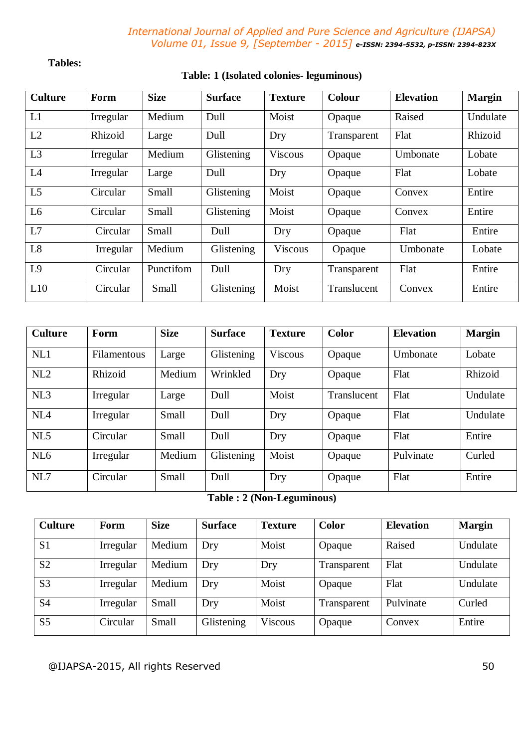## **Tables:**

# **Table: 1 (Isolated colonies- leguminous)**

| <b>Culture</b> | Form      | <b>Size</b> | <b>Surface</b> | <b>Texture</b> | <b>Colour</b> | <b>Elevation</b> | <b>Margin</b> |
|----------------|-----------|-------------|----------------|----------------|---------------|------------------|---------------|
| L1             | Irregular | Medium      | Dull           | Moist          | Opaque        | Raised           | Undulate      |
| L2             | Rhizoid   | Large       | Dull           | Dry            | Transparent   | Flat             | Rhizoid       |
| L3             | Irregular | Medium      | Glistening     | <b>Viscous</b> | Opaque        | Umbonate         | Lobate        |
| L4             | Irregular | Large       | Dull           | Dry            | Opaque        | Flat             | Lobate        |
| L <sub>5</sub> | Circular  | Small       | Glistening     | Moist          | Opaque        | Convex           | Entire        |
| L <sub>6</sub> | Circular  | Small       | Glistening     | Moist          | Opaque        | Convex           | Entire        |
| L7             | Circular  | Small       | Dull           | Dry            | Opaque        | Flat             | Entire        |
| L8             | Irregular | Medium      | Glistening     | <b>Viscous</b> | Opaque        | Umbonate         | Lobate        |
| L <sub>9</sub> | Circular  | Punctifom   | Dull           | Dry            | Transparent   | Flat             | Entire        |
| L10            | Circular  | Small       | Glistening     | Moist          | Translucent   | Convex           | Entire        |

| <b>Culture</b>  | Form        | <b>Size</b> | <b>Surface</b> | <b>Texture</b> | Color       | <b>Elevation</b> | <b>Margin</b> |
|-----------------|-------------|-------------|----------------|----------------|-------------|------------------|---------------|
| NL1             | Filamentous | Large       | Glistening     | <b>Viscous</b> | Opaque      | Umbonate         | Lobate        |
| NL2             | Rhizoid     | Medium      | Wrinkled       | Dry            | Opaque      | Flat             | Rhizoid       |
| NL3             | Irregular   | Large       | Dull           | Moist          | Translucent | Flat             | Undulate      |
| NL <sub>4</sub> | Irregular   | Small       | Dull           | Dry            | Opaque      | Flat             | Undulate      |
| NL5             | Circular    | Small       | Dull           | Dry            | Opaque      | Flat             | Entire        |
| NL6             | Irregular   | Medium      | Glistening     | Moist          | Opaque      | Pulvinate        | Curled        |
| NL7             | Circular    | Small       | Dull           | Dry            | Opaque      | Flat             | Entire        |

## **Table : 2 (Non-Leguminous)**

| <b>Culture</b> | Form      | <b>Size</b> | <b>Surface</b> | <b>Texture</b> | Color       | <b>Elevation</b> | <b>Margin</b> |
|----------------|-----------|-------------|----------------|----------------|-------------|------------------|---------------|
| S <sub>1</sub> | Irregular | Medium      | Dry            | Moist          | Opaque      | Raised           | Undulate      |
| S <sub>2</sub> | Irregular | Medium      | Dry            | Dry            | Transparent | Flat             | Undulate      |
| S <sub>3</sub> | Irregular | Medium      | Dry            | Moist          | Opaque      | Flat             | Undulate      |
| S <sub>4</sub> | Irregular | Small       | Dry            | Moist          | Transparent | Pulvinate        | Curled        |
| S <sub>5</sub> | Circular  | Small       | Glistening     | <b>Viscous</b> | Opaque      | Convex           | Entire        |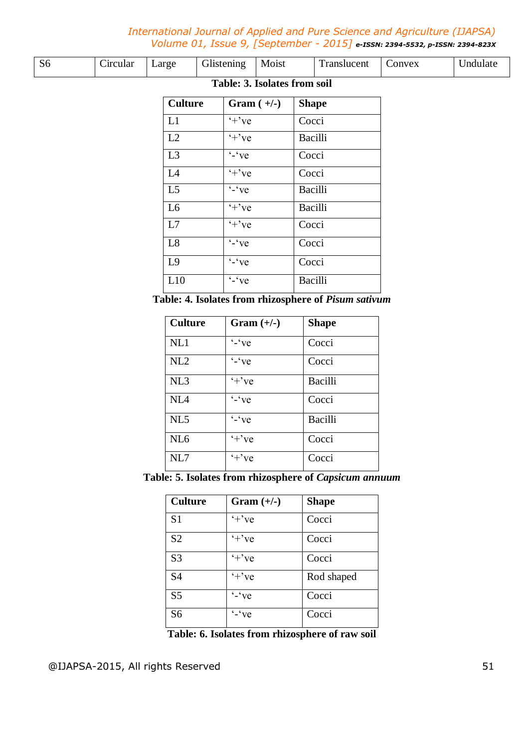| Table: 3. Isolates from soil |          |       |            |       |             |        |          |
|------------------------------|----------|-------|------------|-------|-------------|--------|----------|
| S <sub>6</sub>               | Circular | Large | Glistening | Moist | Translucent | Convex | Jndulate |

| <b>Culture</b> | Gram $(+/-)$                  | <b>Shape</b>   |
|----------------|-------------------------------|----------------|
| L1             | $+$ 've                       | Cocci          |
| L2             | $+$ 've                       | Bacilli        |
| L3             | $\overline{\cdot}$ $\cdot$ ve | Cocci          |
| L4             | $+$ 've                       | Cocci          |
| L <sub>5</sub> | $\cdot$ $\cdot$ ve            | Bacilli        |
| L <sub>6</sub> | $+$ 've                       | Bacilli        |
| L7             | $'+$ 've                      | Cocci          |
| L8             | $\overline{\cdot}$ $\cdot$ ve | Cocci          |
| L <sub>9</sub> | $\overline{\cdot}$ $\cdot$ ve | Cocci          |
| L10            | $\sqrt{\cdot}$ $\sqrt{\cdot}$ | <b>Bacilli</b> |

**Table: 4. Isolates from rhizosphere of** *Pisum sativum*

| <b>Culture</b>  | $Gram (+/-)$       | <b>Shape</b> |
|-----------------|--------------------|--------------|
| NL1             | $\cdot$ $\cdot$ ve | Cocci        |
| NL2             | $\cdot$ $\cdot$ ve | Cocci        |
| NL3             | $+$ ' $ve$         | Bacilli      |
| NL4             | $-$ ve             | Cocci        |
| NL5             | $\cdot$ $\cdot$ ve | Bacilli      |
| NL <sub>6</sub> | $+$ 've            | Cocci        |
| NL7             | $+$ 've            | Cocci        |

**Table: 5. Isolates from rhizosphere of** *Capsicum annuum*

| <b>Culture</b> | Gram $(+/-)$         | <b>Shape</b> |
|----------------|----------------------|--------------|
| S <sub>1</sub> | $+$ 've              | Cocci        |
| S <sub>2</sub> | $+$ 've              | Cocci        |
| S <sub>3</sub> | $+$ 've              | Cocci        |
| S <sub>4</sub> | $+$ 've              | Rod shaped   |
| S <sub>5</sub> | $\cdot$ - $\cdot$ ve | Cocci        |
| S <sub>6</sub> | $-$ 've              | Cocci        |

**Table: 6. Isolates from rhizosphere of raw soil**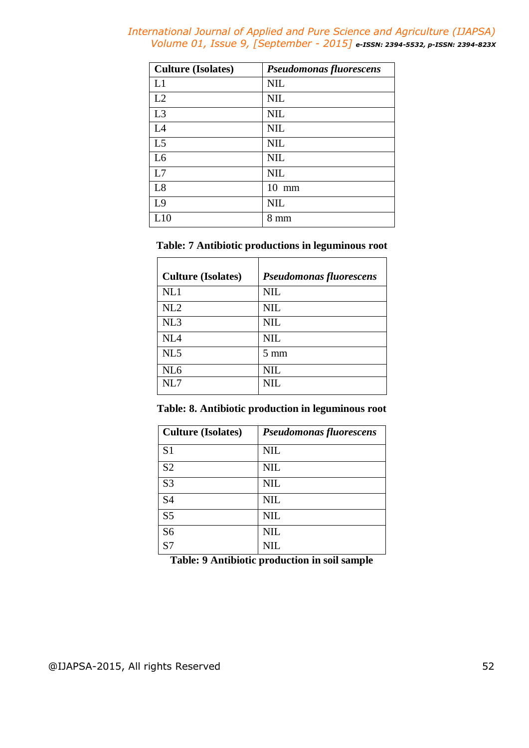| <b>Culture (Isolates)</b> | <b>Pseudomonas fluorescens</b> |
|---------------------------|--------------------------------|
| L1                        | <b>NIL</b>                     |
| L2                        | <b>NIL</b>                     |
| L3                        | <b>NIL</b>                     |
| L4                        | <b>NIL</b>                     |
| L <sub>5</sub>            | <b>NIL</b>                     |
| L <sub>6</sub>            | <b>NIL</b>                     |
| L7                        | <b>NIL</b>                     |
| L8                        | $10 \text{ mm}$                |
| L <sub>9</sub>            | <b>NIL</b>                     |
| L10                       | $8 \text{ mm}$                 |

## **Table: 7 Antibiotic productions in leguminous root**

| <b>Culture (Isolates)</b> | <b>Pseudomonas fluorescens</b> |
|---------------------------|--------------------------------|
| NL1                       | <b>NIL</b>                     |
| NL2                       | <b>NIL</b>                     |
| NL3                       | <b>NIL</b>                     |
| NL <sub>4</sub>           | <b>NIL</b>                     |
| NL5                       | $5 \text{ mm}$                 |
| NL <sub>6</sub>           | <b>NIL</b>                     |
| NL7                       | NIL                            |

# **Table: 8. Antibiotic production in leguminous root**

| <b>Culture (Isolates)</b> | <b>Pseudomonas fluorescens</b> |
|---------------------------|--------------------------------|
| S <sub>1</sub>            | <b>NIL</b>                     |
| S <sub>2</sub>            | <b>NIL</b>                     |
| S <sub>3</sub>            | <b>NIL</b>                     |
| S <sub>4</sub>            | <b>NIL</b>                     |
| S <sub>5</sub>            | <b>NIL</b>                     |
| S <sub>6</sub>            | <b>NIL</b>                     |
| S <sub>7</sub>            | NIL                            |

**Table: 9 Antibiotic production in soil sample**